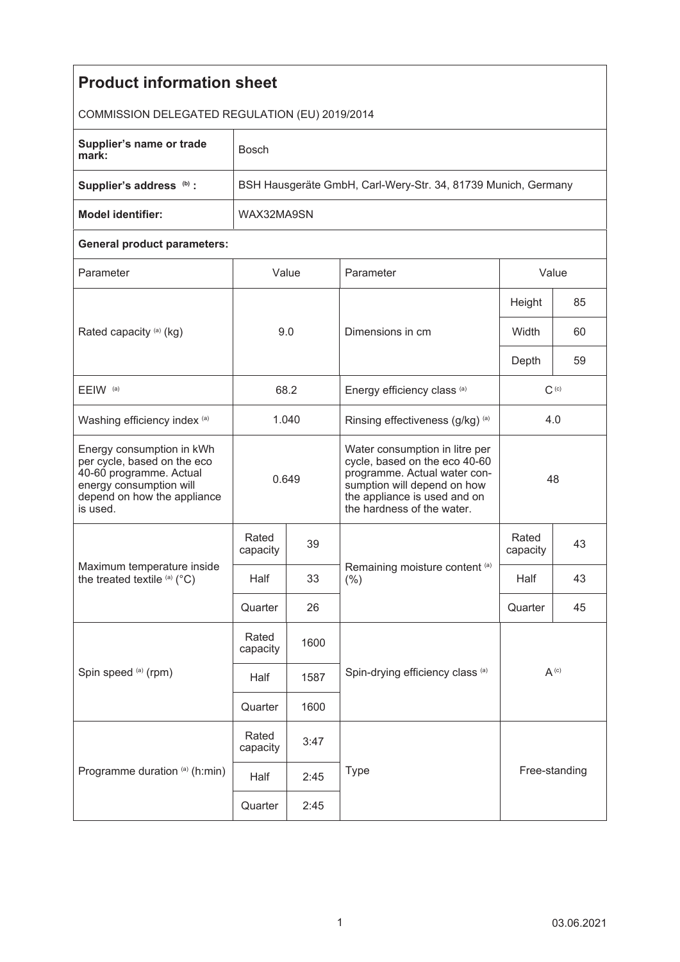| <b>Product information sheet</b>                                                                                                                          |                                                               |      |                                                                                                                                                                                              |                   |    |  |  |  |
|-----------------------------------------------------------------------------------------------------------------------------------------------------------|---------------------------------------------------------------|------|----------------------------------------------------------------------------------------------------------------------------------------------------------------------------------------------|-------------------|----|--|--|--|
|                                                                                                                                                           |                                                               |      |                                                                                                                                                                                              |                   |    |  |  |  |
| COMMISSION DELEGATED REGULATION (EU) 2019/2014                                                                                                            |                                                               |      |                                                                                                                                                                                              |                   |    |  |  |  |
| Supplier's name or trade<br>mark:                                                                                                                         | <b>Bosch</b>                                                  |      |                                                                                                                                                                                              |                   |    |  |  |  |
| Supplier's address (b) :                                                                                                                                  | BSH Hausgeräte GmbH, Carl-Wery-Str. 34, 81739 Munich, Germany |      |                                                                                                                                                                                              |                   |    |  |  |  |
| <b>Model identifier:</b>                                                                                                                                  | WAX32MA9SN                                                    |      |                                                                                                                                                                                              |                   |    |  |  |  |
| <b>General product parameters:</b>                                                                                                                        |                                                               |      |                                                                                                                                                                                              |                   |    |  |  |  |
| Parameter                                                                                                                                                 | Value                                                         |      | Parameter                                                                                                                                                                                    | Value             |    |  |  |  |
| Rated capacity (a) (kg)                                                                                                                                   | 9.0                                                           |      | Dimensions in cm                                                                                                                                                                             | Height            | 85 |  |  |  |
|                                                                                                                                                           |                                                               |      |                                                                                                                                                                                              | Width             | 60 |  |  |  |
|                                                                                                                                                           |                                                               |      |                                                                                                                                                                                              | Depth             | 59 |  |  |  |
| EEIW <sup>(a)</sup>                                                                                                                                       | 68.2                                                          |      | Energy efficiency class (a)                                                                                                                                                                  | $C^{(c)}$         |    |  |  |  |
| Washing efficiency index (a)                                                                                                                              | 1.040                                                         |      | Rinsing effectiveness (g/kg) (a)                                                                                                                                                             | 4.0               |    |  |  |  |
| Energy consumption in kWh<br>per cycle, based on the eco<br>40-60 programme. Actual<br>energy consumption will<br>depend on how the appliance<br>is used. | 0.649                                                         |      | Water consumption in litre per<br>cycle, based on the eco 40-60<br>programme. Actual water con-<br>sumption will depend on how<br>the appliance is used and on<br>the hardness of the water. | 48                |    |  |  |  |
| Maximum temperature inside<br>the treated textile (a) (°C)                                                                                                | Rated<br>capacity                                             | 39   | Remaining moisture content (a)<br>(% )                                                                                                                                                       | Rated<br>capacity | 43 |  |  |  |
|                                                                                                                                                           | Half                                                          | 33   |                                                                                                                                                                                              | Half              | 43 |  |  |  |
|                                                                                                                                                           | Quarter                                                       | 26   |                                                                                                                                                                                              | Quarter           | 45 |  |  |  |
| Spin speed (a) (rpm)                                                                                                                                      | Rated<br>capacity                                             | 1600 |                                                                                                                                                                                              | $A^{(c)}$         |    |  |  |  |
|                                                                                                                                                           | Half                                                          | 1587 | Spin-drying efficiency class (a)                                                                                                                                                             |                   |    |  |  |  |
|                                                                                                                                                           | Quarter                                                       | 1600 |                                                                                                                                                                                              |                   |    |  |  |  |
| Programme duration (a) (h:min)                                                                                                                            | Rated<br>capacity                                             | 3:47 |                                                                                                                                                                                              |                   |    |  |  |  |
|                                                                                                                                                           | Half                                                          | 2:45 | <b>Type</b>                                                                                                                                                                                  | Free-standing     |    |  |  |  |
|                                                                                                                                                           | Quarter                                                       | 2:45 |                                                                                                                                                                                              |                   |    |  |  |  |